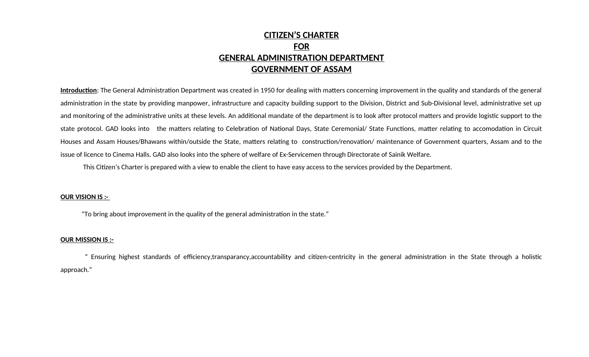# **CITIZEN'S CHARTER FOR GENERAL ADMINISTRATION DEPARTMENT GOVERNMENT OF ASSAM**

**Introduction**: The General Administration Department was created in 1950 for dealing with matters concerning improvement in the quality and standards of the general administration in the state by providing manpower, infrastructure and capacity building support to the Division, District and Sub-Divisional level, administrative set up and monitoring of the administrative units at these levels. An additional mandate of the department is to look after protocol matters and provide logistic support to the state protocol. GAD looks into the matters relating to Celebration of National Days, State Ceremonial/ State Functions, matter relating to accomodation in Circuit Houses and Assam Houses/Bhawans within/outside the State, matters relating to construction/renovation/ maintenance of Government quarters, Assam and to the issue of licence to Cinema Halls. GAD also looks into the sphere of welfare of Ex-Servicemen through Directorate of Sainik Welfare.

This Citizen's Charter is prepared with a view to enable the client to have easy access to the services provided by the Department.

### **OUR VISION IS :-**

"To bring about improvement in the quality of the general administration in the state."

### **OUR MISSION IS :-**

 " Ensuring highest standards of efficiency,transparancy,accountability and citizen-centricity in the general administration in the State through a holistic approach."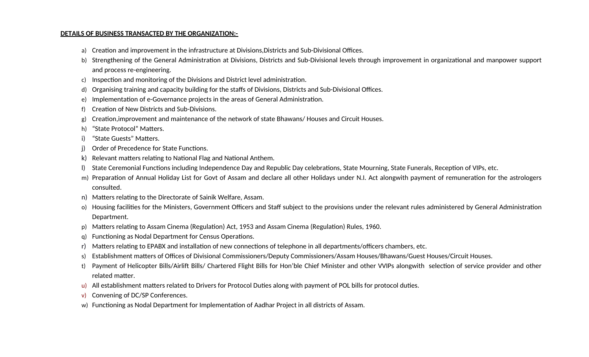### **DETAILS OF BUSINESS TRANSACTED BY THE ORGANIZATION:-**

- a) Creation and improvement in the infrastructure at Divisions,Districts and Sub-Divisional Offices.
- b) Strengthening of the General Administration at Divisions, Districts and Sub-Divisional levels through improvement in organizational and manpower support and process re-engineering.
- c) Inspection and monitoring of the Divisions and District level administration.
- d) Organising training and capacity building for the staffs of Divisions, Districts and Sub-Divisional Offices.
- e) Implementation of e-Governance projects in the areas of General Administration.
- f) Creation of New Districts and Sub-Divisions.
- g) Creation,improvement and maintenance of the network of state Bhawans/ Houses and Circuit Houses.
- h) "State Protocol" Matters.
- i) "State Guests" Matters.
- Order of Precedence for State Functions.
- k) Relevant matters relating to National Flag and National Anthem.
- l) State Ceremonial Functions including Independence Day and Republic Day celebrations, State Mourning, State Funerals, Reception of VIPs, etc.
- m) Preparation of Annual Holiday List for Govt of Assam and declare all other Holidays under N.I. Act alongwith payment of remuneration for the astrologers consulted.
- n) Matters relating to the Directorate of Sainik Welfare, Assam.
- o) Housing facilities for the Ministers, Government Officers and Staff subject to the provisions under the relevant rules administered by General Administration Department.
- p) Matters relating to Assam Cinema (Regulation) Act, 1953 and Assam Cinema (Regulation) Rules, 1960.
- q) Functioning as Nodal Department for Census Operations.
- r) Matters relating to EPABX and installation of new connections of telephone in all departments/officers chambers, etc.
- s) Establishment matters of Offices of Divisional Commissioners/Deputy Commissioners/Assam Houses/Bhawans/Guest Houses/Circuit Houses.
- t) Payment of Helicopter Bills/Airlift Bills/ Chartered Flight Bills for Hon'ble Chief Minister and other VVIPs alongwith selection of service provider and other related matter.
- All establishment matters related to Drivers for Protocol Duties along with payment of POL bills for protocol duties.
- v) Convening of DC/SP Conferences.
- w) Functioning as Nodal Department for Implementation of Aadhar Project in all districts of Assam.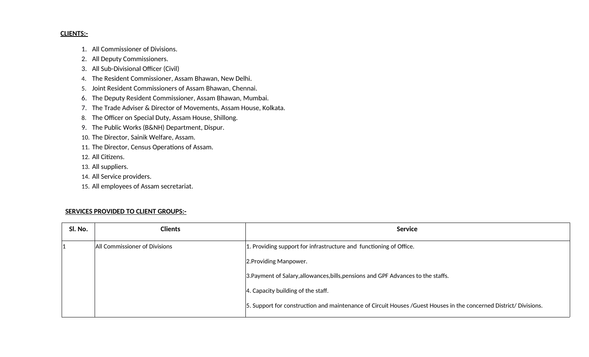### **CLIENTS:-**

- 1. All Commissioner of Divisions.
- 2. All Deputy Commissioners.
- 3. All Sub-Divisional Officer (Civil)
- 4. The Resident Commissioner, Assam Bhawan, New Delhi.
- 5. Joint Resident Commissioners of Assam Bhawan, Chennai.
- 6. The Deputy Resident Commissioner, Assam Bhawan, Mumbai.
- 7. The Trade Adviser & Director of Movements, Assam House, Kolkata.
- 8. The Officer on Special Duty, Assam House, Shillong.
- 9. The Public Works (B&NH) Department, Dispur.
- 10. The Director, Sainik Welfare, Assam.
- 11. The Director, Census Operations of Assam.
- 12. All Citizens.
- 13. All suppliers.
- 14. All Service providers.
- 15. All employees of Assam secretariat.

### **SERVICES PROVIDED TO CLIENT GROUPS:-**

| Sl. No. | <b>Clients</b>                | <b>Service</b>                                                                                                    |
|---------|-------------------------------|-------------------------------------------------------------------------------------------------------------------|
|         | All Commissioner of Divisions | 1. Providing support for infrastructure and functioning of Office.                                                |
|         |                               | 2. Providing Manpower.                                                                                            |
|         |                               | 3. Payment of Salary, allowances, bills, pensions and GPF Advances to the staffs.                                 |
|         |                               | 4. Capacity building of the staff.                                                                                |
|         |                               | 5. Support for construction and maintenance of Circuit Houses /Guest Houses in the concerned District/ Divisions. |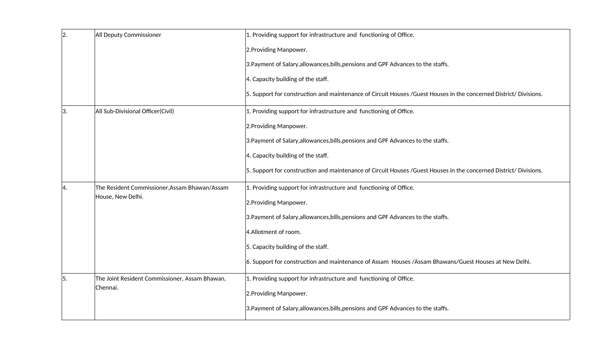| 2. | All Deputy Commissioner                        | 1. Providing support for infrastructure and functioning of Office.                                                |
|----|------------------------------------------------|-------------------------------------------------------------------------------------------------------------------|
|    |                                                | 2. Providing Manpower.                                                                                            |
|    |                                                | 3. Payment of Salary, allowances, bills, pensions and GPF Advances to the staffs.                                 |
|    |                                                | 4. Capacity building of the staff.                                                                                |
|    |                                                | 5. Support for construction and maintenance of Circuit Houses /Guest Houses in the concerned District/ Divisions. |
| 3. | All Sub-Divisional Officer(Civil)              | 1. Providing support for infrastructure and functioning of Office.                                                |
|    |                                                | 2. Providing Manpower.                                                                                            |
|    |                                                | 3. Payment of Salary, allowances, bills, pensions and GPF Advances to the staffs.                                 |
|    |                                                | 4. Capacity building of the staff.                                                                                |
|    |                                                | 5. Support for construction and maintenance of Circuit Houses /Guest Houses in the concerned District/ Divisions. |
| 4. | The Resident Commissioner, Assam Bhawan/Assam  | 1. Providing support for infrastructure and functioning of Office.                                                |
|    | House, New Delhi.                              | 2. Providing Manpower.                                                                                            |
|    |                                                | 3. Payment of Salary, allowances, bills, pensions and GPF Advances to the staffs.                                 |
|    |                                                | 4.Allotment of room.                                                                                              |
|    |                                                | 5. Capacity building of the staff.                                                                                |
|    |                                                | 6. Support for construction and maintenance of Assam Houses / Assam Bhawans/Guest Houses at New Delhi.            |
| 5. | The Joint Resident Commissioner, Assam Bhawan, | 1. Providing support for infrastructure and functioning of Office.                                                |
|    | Chennai.                                       | 2. Providing Manpower.                                                                                            |
|    |                                                | 3. Payment of Salary, allowances, bills, pensions and GPF Advances to the staffs.                                 |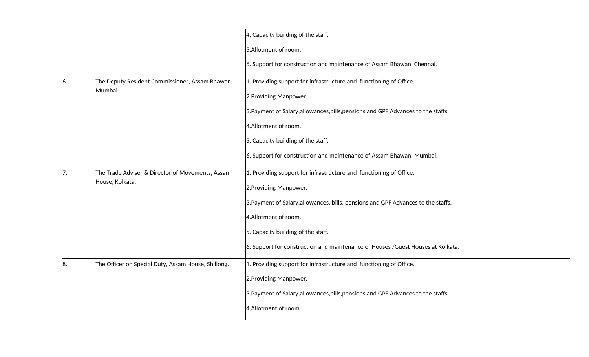|                                                         |                                                     | 4. Capacity building of the staff.                                                |
|---------------------------------------------------------|-----------------------------------------------------|-----------------------------------------------------------------------------------|
|                                                         |                                                     | 5.Allotment of room.                                                              |
|                                                         |                                                     | 6. Support for construction and maintenance of Assam Bhawan, Chennai.             |
| 6.                                                      | The Deputy Resident Commissioner, Assam Bhawan,     | 1. Providing support for infrastructure and functioning of Office.                |
|                                                         | Mumbai.                                             | 2. Providing Manpower.                                                            |
|                                                         |                                                     | 3. Payment of Salary, allowances, bills, pensions and GPF Advances to the staffs. |
|                                                         |                                                     | 4.Allotment of room.                                                              |
|                                                         |                                                     | 5. Capacity building of the staff.                                                |
|                                                         |                                                     | 6. Support for construction and maintenance of Assam Bhawan, Mumbai.              |
| The Trade Adviser & Director of Movements, Assam<br>17. |                                                     | 1. Providing support for infrastructure and functioning of Office.                |
|                                                         | House, Kolkata.                                     | 2. Providing Manpower.                                                            |
|                                                         |                                                     | 3. Payment of Salary, allowances, bills, pensions and GPF Advances to the staffs. |
|                                                         |                                                     | 4.Allotment of room.                                                              |
|                                                         |                                                     | 5. Capacity building of the staff.                                                |
|                                                         |                                                     | 6. Support for construction and maintenance of Houses / Guest Houses at Kolkata.  |
| 8.                                                      | The Officer on Special Duty, Assam House, Shillong. | 1. Providing support for infrastructure and functioning of Office.                |
|                                                         |                                                     | 2. Providing Manpower.                                                            |
|                                                         |                                                     | 3. Payment of Salary, allowances, bills, pensions and GPF Advances to the staffs. |
|                                                         |                                                     | 4.Allotment of room.                                                              |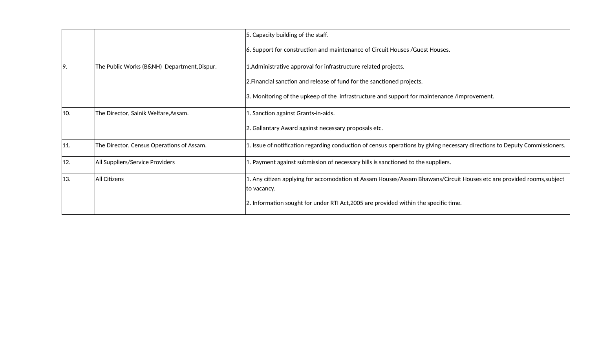|         |                                             | 5. Capacity building of the staff.                                                                                                  |
|---------|---------------------------------------------|-------------------------------------------------------------------------------------------------------------------------------------|
|         |                                             | 6. Support for construction and maintenance of Circuit Houses / Guest Houses.                                                       |
| 19.     | The Public Works (B&NH) Department, Dispur. | 1. Administrative approval for infrastructure related projects.                                                                     |
|         |                                             | 2. Financial sanction and release of fund for the sanctioned projects.                                                              |
|         |                                             | 3. Monitoring of the upkeep of the infrastructure and support for maintenance /improvement.                                         |
| 10.     | The Director, Sainik Welfare, Assam.        | 1. Sanction against Grants-in-aids.                                                                                                 |
|         |                                             | 2. Gallantary Award against necessary proposals etc.                                                                                |
| $ 11$ . | The Director, Census Operations of Assam.   | 1. Issue of notification regarding conduction of census operations by giving necessary directions to Deputy Commissioners.          |
| 12.     | All Suppliers/Service Providers             | 1. Payment against submission of necessary bills is sanctioned to the suppliers.                                                    |
| 13.     | All Citizens                                | 1. Any citizen applying for accomodation at Assam Houses/Assam Bhawans/Circuit Houses etc are provided rooms,subject<br>to vacancy. |
|         |                                             | 2. Information sought for under RTI Act, 2005 are provided within the specific time.                                                |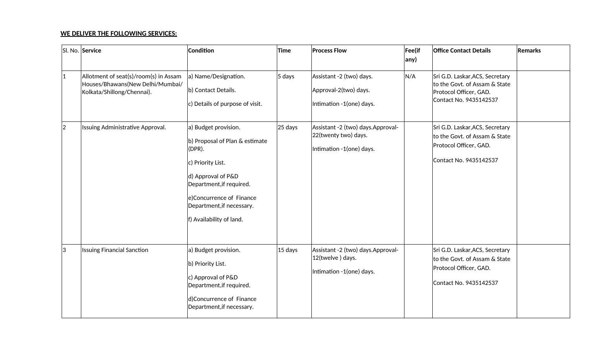### **WE DELIVER THE FOLLOWING SERVICES:**

|             | SI. No. Service                                                                                         | Condition                                                                                                                                                                                                                       | Time      | <b>Process Flow</b>                                                                   | Fee(if<br>any) | <b>Office Contact Details</b>                                                                                        | Remarks |
|-------------|---------------------------------------------------------------------------------------------------------|---------------------------------------------------------------------------------------------------------------------------------------------------------------------------------------------------------------------------------|-----------|---------------------------------------------------------------------------------------|----------------|----------------------------------------------------------------------------------------------------------------------|---------|
| $ 1\rangle$ | Allotment of seat(s)/room(s) in Assam<br>Houses/Bhawans(New Delhi/Mumbai/<br>Kolkata/Shillong/Chennai). | a) Name/Designation.<br>b) Contact Details.<br>c) Details of purpose of visit.                                                                                                                                                  | $5$ days  | Assistant -2 (two) days.<br>Approval-2(two) days.<br>Intimation -1(one) days.         | N/A            | Sri G.D. Laskar, ACS, Secretary<br>to the Govt. of Assam & State<br>Protocol Officer, GAD.<br>Contact No. 9435142537 |         |
| $ 2\rangle$ | Issuing Administrative Approval.                                                                        | a) Budget provision.<br>b) Proposal of Plan & estimate<br>$(DPR)$ .<br>c) Priority List.<br>d) Approval of P&D<br>Department, if required.<br>e)Concurrence of Finance<br>Department, if necessary.<br>f) Availability of land. | $25$ days | Assistant -2 (two) days.Approval-<br>22(twenty two) days.<br>Intimation -1(one) days. |                | Sri G.D. Laskar, ACS, Secretary<br>to the Govt. of Assam & State<br>Protocol Officer, GAD.<br>Contact No. 9435142537 |         |
| 3           | <b>Issuing Financial Sanction</b>                                                                       | a) Budget provision.<br>b) Priority List.<br>c) Approval of P&D<br>Department, if required.<br>d)Concurrence of Finance<br>Department, if necessary.                                                                            | $15$ days | Assistant -2 (two) days.Approval-<br>12(twelve) days.<br>Intimation -1(one) days.     |                | Sri G.D. Laskar, ACS, Secretary<br>to the Govt. of Assam & State<br>Protocol Officer, GAD.<br>Contact No. 9435142537 |         |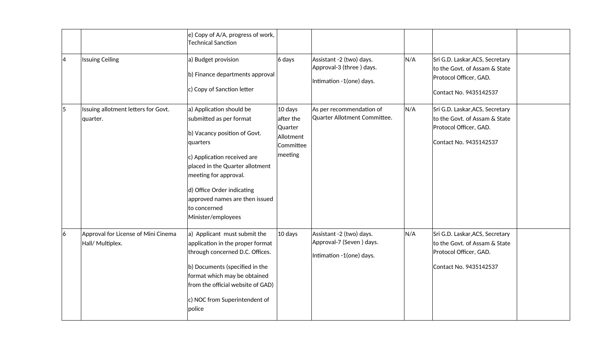|   |                                                         | e) Copy of A/A, progress of work,<br><b>Technical Sanction</b>                                                                                                                                                                                                                                   |                                                                        |                                                                                  |     |                                                                                                                      |  |
|---|---------------------------------------------------------|--------------------------------------------------------------------------------------------------------------------------------------------------------------------------------------------------------------------------------------------------------------------------------------------------|------------------------------------------------------------------------|----------------------------------------------------------------------------------|-----|----------------------------------------------------------------------------------------------------------------------|--|
| 4 | <b>Issuing Ceiling</b>                                  | a) Budget provision<br>b) Finance departments approval<br>c) Copy of Sanction letter                                                                                                                                                                                                             | $6$ days                                                               | Assistant -2 (two) days.<br>Approval-3 (three) days.<br>Intimation -1(one) days. | N/A | Sri G.D. Laskar, ACS, Secretary<br>to the Govt. of Assam & State<br>Protocol Officer, GAD.<br>Contact No. 9435142537 |  |
| 5 | Issuing allotment letters for Govt.<br>quarter.         | a) Application should be<br>submitted as per format<br>b) Vacancy position of Govt.<br>quarters<br>c) Application received are<br>placed in the Quarter allotment<br>meeting for approval.<br>d) Office Order indicating<br>approved names are then issued<br>to concerned<br>Minister/employees | $10$ days<br>after the<br>Quarter<br>Allotment<br>Committee<br>meeting | As per recommendation of<br>Quarter Allotment Committee.                         | N/A | Sri G.D. Laskar, ACS, Secretary<br>to the Govt. of Assam & State<br>Protocol Officer, GAD.<br>Contact No. 9435142537 |  |
| 6 | Approval for License of Mini Cinema<br>Hall/ Multiplex. | $ a $ Applicant must submit the<br>application in the proper format<br>through concerned D.C. Offices.<br>b) Documents (specified in the<br>format which may be obtained<br>from the official website of GAD)<br>c) NOC from Superintendent of<br>police                                         | $ 10$ days                                                             | Assistant -2 (two) days.<br>Approval-7 (Seven) days.<br>Intimation -1(one) days. | N/A | Sri G.D. Laskar, ACS, Secretary<br>to the Govt. of Assam & State<br>Protocol Officer, GAD.<br>Contact No. 9435142537 |  |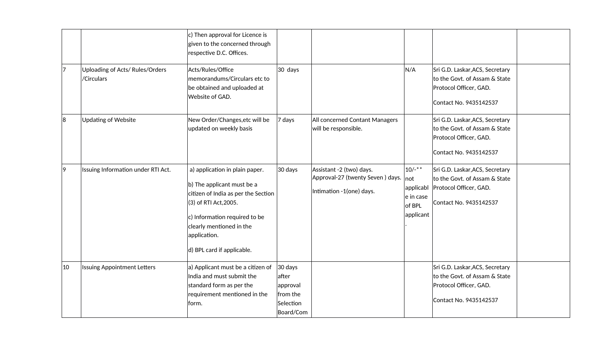|    |                                              | c) Then approval for Licence is<br>given to the concerned through<br>respective D.C. Offices.                                                                                                                                           |                                                                      |                                                                                          |                                                                    |                                                                                                                      |  |
|----|----------------------------------------------|-----------------------------------------------------------------------------------------------------------------------------------------------------------------------------------------------------------------------------------------|----------------------------------------------------------------------|------------------------------------------------------------------------------------------|--------------------------------------------------------------------|----------------------------------------------------------------------------------------------------------------------|--|
| 17 | Uploading of Acts/Rules/Orders<br>/Circulars | Acts/Rules/Office<br>memorandums/Circulars etc to<br>be obtained and uploaded at<br>Website of GAD.                                                                                                                                     | 30 days                                                              |                                                                                          | N/A                                                                | Sri G.D. Laskar, ACS, Secretary<br>to the Govt. of Assam & State<br>Protocol Officer, GAD.<br>Contact No. 9435142537 |  |
| 8  | <b>Updating of Website</b>                   | New Order/Changes, etc will be<br>updated on weekly basis                                                                                                                                                                               | 7 days                                                               | All concerned Contant Managers<br>will be responsible.                                   |                                                                    | Sri G.D. Laskar, ACS, Secretary<br>to the Govt. of Assam & State<br>Protocol Officer, GAD.<br>Contact No. 9435142537 |  |
| 9  | Issuing Information under RTI Act.           | a) application in plain paper.<br>b) The applicant must be a<br>citizen of India as per the Section<br>(3) of RTI Act, 2005.<br>c) Information required to be<br>clearly mentioned in the<br>application.<br>d) BPL card if applicable. | 30 days                                                              | Assistant -2 (two) days.<br>Approval-27 (twenty Seven) days.<br>Intimation -1(one) days. | $10/-$ **<br> not<br>applicabl<br>e in case<br>of BPL<br>applicant | Sri G.D. Laskar, ACS, Secretary<br>to the Govt. of Assam & State<br>Protocol Officer, GAD.<br>Contact No. 9435142537 |  |
| 10 | <b>Issuing Appointment Letters</b>           | a) Applicant must be a citizen of<br>India and must submit the<br>standard form as per the<br>requirement mentioned in the<br>form.                                                                                                     | $30$ days<br>after<br>approval<br>from the<br>Selection<br>Board/Com |                                                                                          |                                                                    | Sri G.D. Laskar, ACS, Secretary<br>to the Govt. of Assam & State<br>Protocol Officer, GAD.<br>Contact No. 9435142537 |  |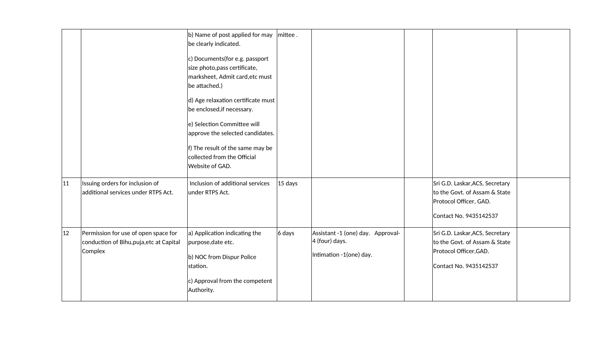|              |                                                                                             | b) Name of post applied for may $\vert$ mittee.<br>be clearly indicated.<br>c) Documents (for e.g. passport<br>size photo, pass certificate,<br>marksheet, Admit card, etc must<br>be attached.)<br>d) Age relaxation certificate must<br>be enclosed, if necessary.<br>e) Selection Committee will<br>approve the selected candidates.<br>f) The result of the same may be<br>collected from the Official<br>Website of GAD. |           |                                                                                   |                                                                                                                      |  |
|--------------|---------------------------------------------------------------------------------------------|-------------------------------------------------------------------------------------------------------------------------------------------------------------------------------------------------------------------------------------------------------------------------------------------------------------------------------------------------------------------------------------------------------------------------------|-----------|-----------------------------------------------------------------------------------|----------------------------------------------------------------------------------------------------------------------|--|
| $ 11\rangle$ | Issuing orders for inclusion of<br>additional services under RTPS Act.                      | Inclusion of additional services<br>under RTPS Act.                                                                                                                                                                                                                                                                                                                                                                           | $15$ days |                                                                                   | Sri G.D. Laskar, ACS, Secretary<br>to the Govt. of Assam & State<br>Protocol Officer, GAD.<br>Contact No. 9435142537 |  |
| 12           | Permission for use of open space for<br>conduction of Bihu, puja, etc at Capital<br>Complex | $ a\rangle$ Application indicating the<br>purpose, date etc.<br>b) NOC from Dispur Police<br>station.<br>c) Approval from the competent<br>Authority.                                                                                                                                                                                                                                                                         | $6$ days  | Assistant -1 (one) day. Approval-<br>$ 4$ (four) days.<br>Intimation -1(one) day. | Sri G.D. Laskar, ACS, Secretary<br>to the Govt. of Assam & State<br>Protocol Officer, GAD.<br>Contact No. 9435142537 |  |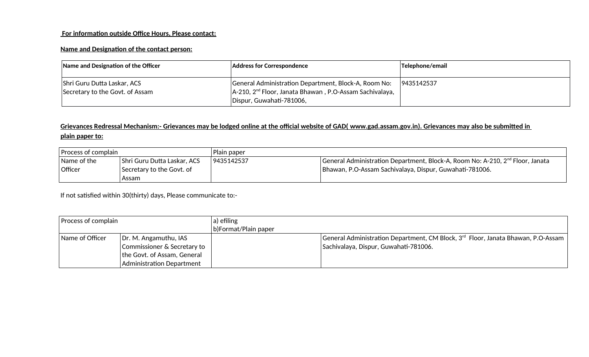# **For information outside Office Hours, Please contact:**

# **Name and Designation of the contact person:**

| Name and Designation of the Officer                            | <b>Address for Correspondence</b>                                                                                                              | Telephone/email |
|----------------------------------------------------------------|------------------------------------------------------------------------------------------------------------------------------------------------|-----------------|
| Shri Guru Dutta Laskar, ACS<br>Secretary to the Govt. of Assam | General Administration Department, Block-A, Room No:<br>$ A-210, 2nd$ Floor, Janata Bhawan, P.O-Assam Sachivalaya,<br>Dispur, Guwahati-781006, | 9435142537      |

# **Grievances Redressal Mechanism:- Grievances may be lodged online at the official website of GAD( [www.gad.assam.gov.in](http://www.gad.assam.gov.in/) ). Grievances may also be submitted in plain paper to:**

| Process of complain                      |                                                                     | Plain paper |                                                                                                                                                      |
|------------------------------------------|---------------------------------------------------------------------|-------------|------------------------------------------------------------------------------------------------------------------------------------------------------|
| $^\shortparallel$ Name of the<br>Officer | Shri Guru Dutta Laskar, ACS<br>  Secretary to the Govt. of<br>Assam | 9435142537  | General Administration Department, Block-A, Room No: A-210, 2 <sup>nd</sup> Floor, Janata<br>Bhawan, P.O-Assam Sachivalaya, Dispur, Guwahati-781006. |

If not satisfied within 30(thirty) days, Please communicate to:-

| Process of complain |                               | a) efiling           |                                                                                              |
|---------------------|-------------------------------|----------------------|----------------------------------------------------------------------------------------------|
|                     |                               | b)Format/Plain paper |                                                                                              |
| Name of Officer     | $\vert$ Dr. M. Angamuthu, IAS |                      | General Administration Department, CM Block, 3 <sup>rd</sup> Floor, Janata Bhawan, P.O-Assam |
|                     | Commissioner & Secretary to   |                      | Sachivalaya, Dispur, Guwahati-781006.                                                        |
|                     | the Govt. of Assam, General   |                      |                                                                                              |
|                     | Administration Department     |                      |                                                                                              |